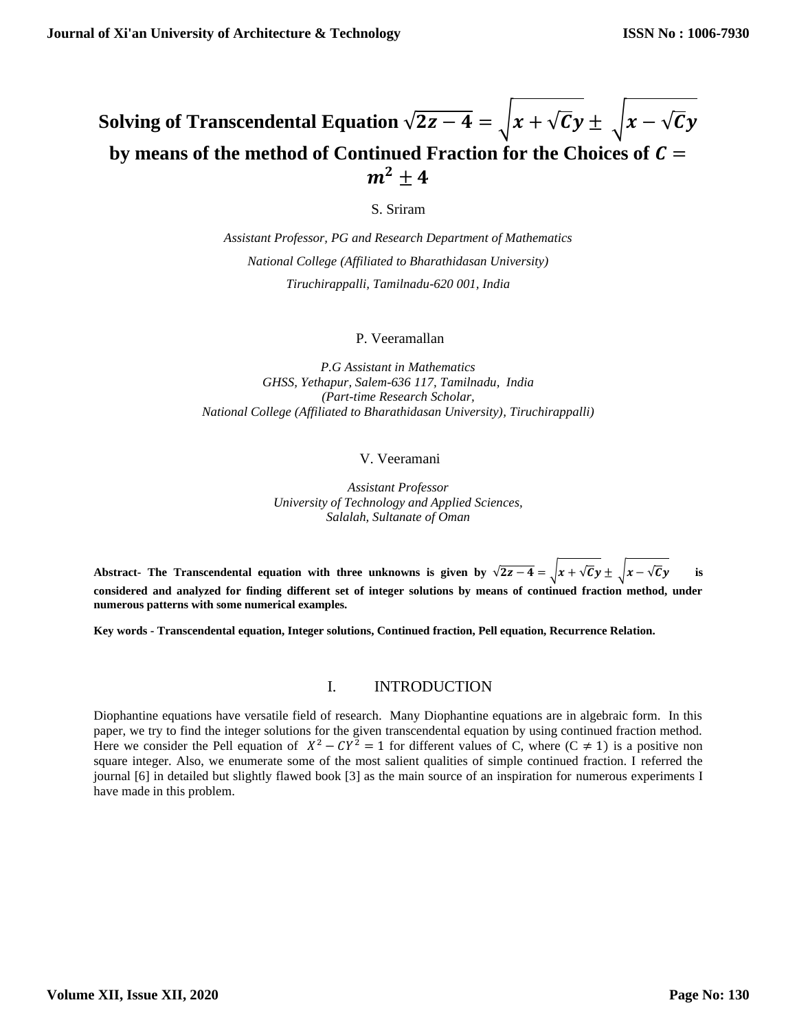# **Solving of Transcendental Equation**  $\sqrt{2z-4} = \sqrt{x} + \sqrt{c}y \pm \sqrt{x} - \sqrt{c}y$ by means of the method of Continued Fraction for the Choices of  $C =$  $m^2 + 4$

S. Sriram

*Assistant Professor, PG and Research Department of Mathematics National College (Affiliated to Bharathidasan University) Tiruchirappalli, Tamilnadu-620 001, India*

### P. Veeramallan

*P.G Assistant in Mathematics GHSS, Yethapur, Salem-636 117, Tamilnadu, India (Part-time Research Scholar, National College (Affiliated to Bharathidasan University), Tiruchirappalli)*

## V. Veeramani

*Assistant Professor University of Technology and Applied Sciences, Salalah, Sultanate of Oman*

Abstract- The Transcendental equation with three unknowns is given by  $\sqrt{2z-4} = \sqrt{x} + \sqrt{c}y \pm \sqrt{x} - \sqrt{c}y$  is **considered and analyzed for finding different set of integer solutions by means of continued fraction method, under numerous patterns with some numerical examples.**

**Key words - Transcendental equation, Integer solutions, Continued fraction, Pell equation, Recurrence Relation.**

### I. INTRODUCTION

Diophantine equations have versatile field of research. Many Diophantine equations are in algebraic form. In this paper, we try to find the integer solutions for the given transcendental equation by using continued fraction method. Here we consider the Pell equation of  $X^2 - CY^2 = 1$  for different values of C, where  $(C \neq 1)$  is a positive non square integer. Also, we enumerate some of the most salient qualities of simple continued fraction. I referred the journal [6] in detailed but slightly flawed book [3] as the main source of an inspiration for numerous experiments I have made in this problem.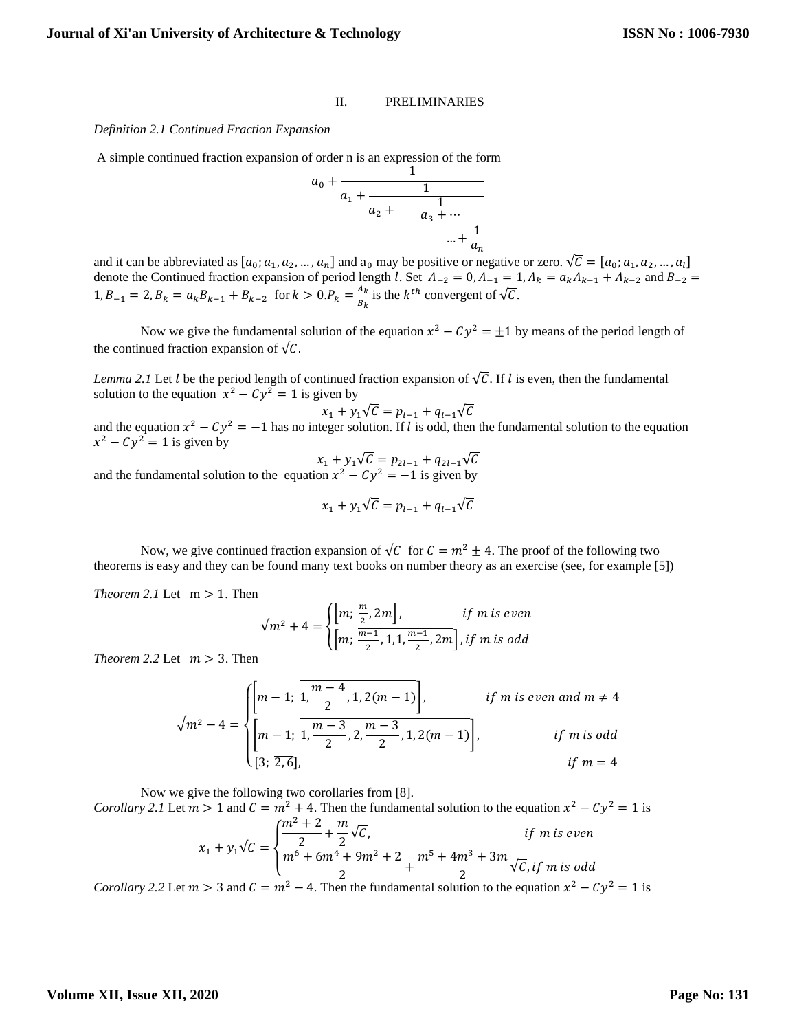#### II. PRELIMINARIES

#### *Definition 2.1 Continued Fraction Expansion*

A simple continued fraction expansion of order n is an expression of the form

$$
a_0 + \cfrac{1}{a_1 + \cfrac{1}{a_2 + \cfrac{1}{a_3 + \cdots}}} \qquad \qquad
$$
  
... +  $\cfrac{1}{a_n}$ 

and it can be abbreviated as  $[a_0; a_1, a_2, ..., a_n]$  and  $a_0$  may be positive or negative or zero.  $\sqrt{C} = [a_0; a_1, a_2, ..., a_l]$ denote the Continued fraction expansion of period length l. Set  $A_{-2} = 0$ ,  $A_{-1} = 1$ ,  $A_k = a_k A_{k-1} + A_{k-2}$  and  $B_{-2} =$  $1, B_{-1} = 2, B_k = a_k B_{k-1} + B_{k-2}$  for  $k > 0, P_k = \frac{A_k}{B_k}$  $\frac{A_k}{B_k}$  is the  $k^{th}$  convergent of  $\sqrt{C}$ .

Now we give the fundamental solution of the equation  $x^2 - Cy^2 = \pm 1$  by means of the period length of the continued fraction expansion of  $\sqrt{C}$ .

*Lemma* 2.1 Let *l* be the period length of continued fraction expansion of  $\sqrt{C}$ . If *l* is even, then the fundamental solution to the equation  $x^2 - Cy^2 = 1$  is given by

$$
x_1 + y_1 \sqrt{c} = p_{l-1} + q_{l-1} \sqrt{c}
$$

and the equation  $x^2 - Cy^2 = -1$  has no integer solution. If l is odd, then the fundamental solution to the equation  $x^2 - Cy^2 = 1$  is given by

$$
x_1 + y_1 \sqrt{C} = p_{2l-1} + q_{2l-1} \sqrt{C}
$$

and the fundamental solution to the equation  $x^2 - Cy^2 = -1$  is given by

$$
x_1 + y_1\sqrt{C} = p_{l-1} + q_{l-1}\sqrt{C}
$$

Now, we give continued fraction expansion of  $\sqrt{C}$  for  $C = m^2 \pm 4$ . The proof of the following two theorems is easy and they can be found many text books on number theory as an exercise (see, for example [5])

*Theorem* 2.1 Let  $m > 1$ . Then

$$
\sqrt{m^2 + 4} = \begin{cases} \left[m; \frac{\overline{m}}{2}, 2m\right], & \text{if } m \text{ is even} \\ \left[m; \frac{\overline{m-1}}{2}, 1, 1, \frac{\overline{m-1}}{2}, 2m\right], \text{if } m \text{ is odd} \end{cases}
$$

*Theorem* 2.2 Let  $m > 3$ . Then

$$
\sqrt{m^2 - 4} = \begin{cases} \left[ m - 1; \frac{m - 4}{2}, 1, 2(m - 1) \right], & \text{if } m \text{ is even and } m \neq 4 \\ \left[ m - 1; \frac{m - 3}{2}, 2, \frac{m - 3}{2}, 1, 2(m - 1) \right], & \text{if } m \text{ is odd} \\ [3; \overline{2, 6}], & \text{if } m = 4 \end{cases}
$$

Now we give the following two corollaries from [8].

*Corollary* 2.1 Let  $m > 1$  and  $C = m^2 + 4$ . Then the fundamental solution to the equation  $x^2 - Cy^2 = 1$  is  $x_1 + y_1 \sqrt{C} =$  $\overline{\mathcal{L}}$  $\mathbf{I}$  $\left(\frac{m^2+2}{2}\right)$  $\frac{+2}{2} + \frac{m}{2}$  $\frac{1}{2}\sqrt{c}$ , if m is even  $m^6 + 6m^4 + 9m^2 + 2$  $\frac{1}{2} + \frac{9m^2 + 2}{2} + \frac{m^5 + 4m^3 + 3m}{2}$  $\frac{1}{2}$   $\sqrt{C}$ , if m is odd

*Corollary 2.2* Let  $m > 3$  and  $C = m^2 - 4$ . Then the fundamental solution to the equation  $x^2 - Cy^2 = 1$  is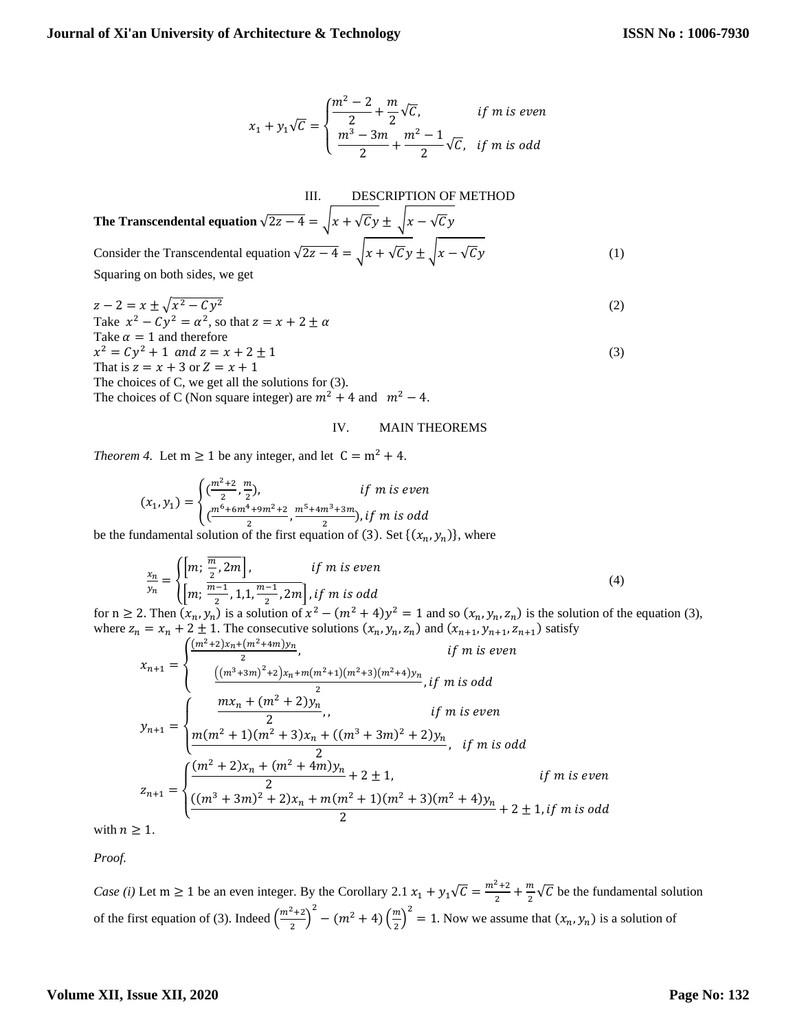$$
x_1 + y_1 \sqrt{C} = \begin{cases} \frac{m^2 - 2}{2} + \frac{m}{2} \sqrt{C}, & \text{if } m \text{ is even} \\ \frac{m^3 - 3m}{2} + \frac{m^2 - 1}{2} \sqrt{C}, & \text{if } m \text{ is odd} \end{cases}
$$

III. **DESCRIPTION OF METHOD**  
The Transcendental equation 
$$
\sqrt{2z - 4} = \sqrt{x + \sqrt{c}y \pm \sqrt{x - \sqrt{c}y}}
$$
  
Consider the Transcendental equation  $\sqrt{2z - 4} = \sqrt{x + \sqrt{c}y \pm \sqrt{x - \sqrt{c}y}}$   
Squaring on both sides, we get (1)

 $z-2=x\pm\sqrt{x^2-Cy}$  $2 \tag{2}$ Take  $x^2 - Cy^2 = \alpha^2$ , so that  $z = x + 2 \pm \alpha$ Take  $\alpha = 1$  and therefore  $x^2 = Cy^2 + 1$  and  $z = x + 2 \pm 1$  (3) That is  $z = x + 3$  or  $Z = x + 1$ The choices of C, we get all the solutions for (3). The choices of C (Non square integer) are  $m^2 + 4$  and  $m^2 - 4$ .

#### IV. MAIN THEOREMS

*Theorem 4.* Let  $m \ge 1$  be any integer, and let  $C = m^2 + 4$ .

$$
(x_1, y_1) = \begin{cases} \left(\frac{m^2+2}{2}, \frac{m}{2}\right), & \text{if } m \text{ is even} \\ \left(\frac{m^6+6m^4+9m^2+2}{2}, \frac{m^5+4m^3+3m}{2}\right), \text{if } m \text{ is odd} \end{cases}
$$

be the fundamental solution of the first equation of (3). Set  $\{(x_n, y_n)\}$ , where

$$
\frac{x_n}{y_n} = \begin{cases} \left[m; \frac{\overline{m}}{2}, 2m\right], & \text{if } m \text{ is even} \\ \left[m; \frac{\overline{m-1}}{2}, 1, 1, \frac{\overline{m-1}}{2}, 2m\right], \text{if } m \text{ is odd} \end{cases}
$$
(4)

for  $n \ge 2$ . Then  $(x_n, y_n)$  is a solution of  $x^2 - (m^2 + 4)y^2 = 1$  and so  $(x_n, y_n, z_n)$  is the solution of the equation (3), where  $z_n = x_n + 2 \pm 1$ . The consecutive solutions  $(x_n, y_n, z_n)$  and  $(x_{n+1}, y_{n+1}, z_{n+1})$  satisfy

$$
x_{n+1} = \begin{cases} \frac{(m^2 + 2)x_n + (m^2 + 4m)y_n}{2}, & \text{if } m \text{ is even} \\ \frac{\left((m^3 + 3m)^2 + 2\right)x_n + m(m^2 + 1)(m^2 + 3)(m^2 + 4)y_n}{2}, & \text{if } m \text{ is odd} \end{cases}
$$
  

$$
y_{n+1} = \begin{cases} \frac{mx_n + (m^2 + 2)y_n}{2}, & \text{if } m \text{ is even} \\ \frac{m(m^2 + 1)(m^2 + 3)x_n + ((m^3 + 3m)^2 + 2)y_n}{2}, & \text{if } m \text{ is odd} \end{cases}
$$
  

$$
z_{n+1} = \begin{cases} \frac{(m^2 + 2)x_n + (m^2 + 4m)y_n}{2} + 2 \pm 1, & \text{if } m \text{ is even} \\ \frac{((m^3 + 3m)^2 + 2)x_n + m(m^2 + 1)(m^2 + 3)(m^2 + 4)y_n}{2} + 2 \pm 1, & \text{if } m \text{ is odd} \end{cases}
$$

with  $n \geq 1$ .

*Proof.*

*Case (i)* Let m  $\geq 1$  be an even integer. By the Corollary 2.1  $x_1 + y_1\sqrt{c} = \frac{m^2+2}{2}$  $\frac{2+2}{2} + \frac{m}{2}$  $\frac{m}{2}\sqrt{C}$  be the fundamental solution of the first equation of (3). Indeed  $\left(\frac{m^2+2}{2}\right)$  $\left(\frac{2}{2}+2\right)^2 - (m^2+4)\left(\frac{m}{2}\right)$  $\left(\frac{m}{2}\right)^2 = 1$ . Now we assume that  $(x_n, y_n)$  is a solution of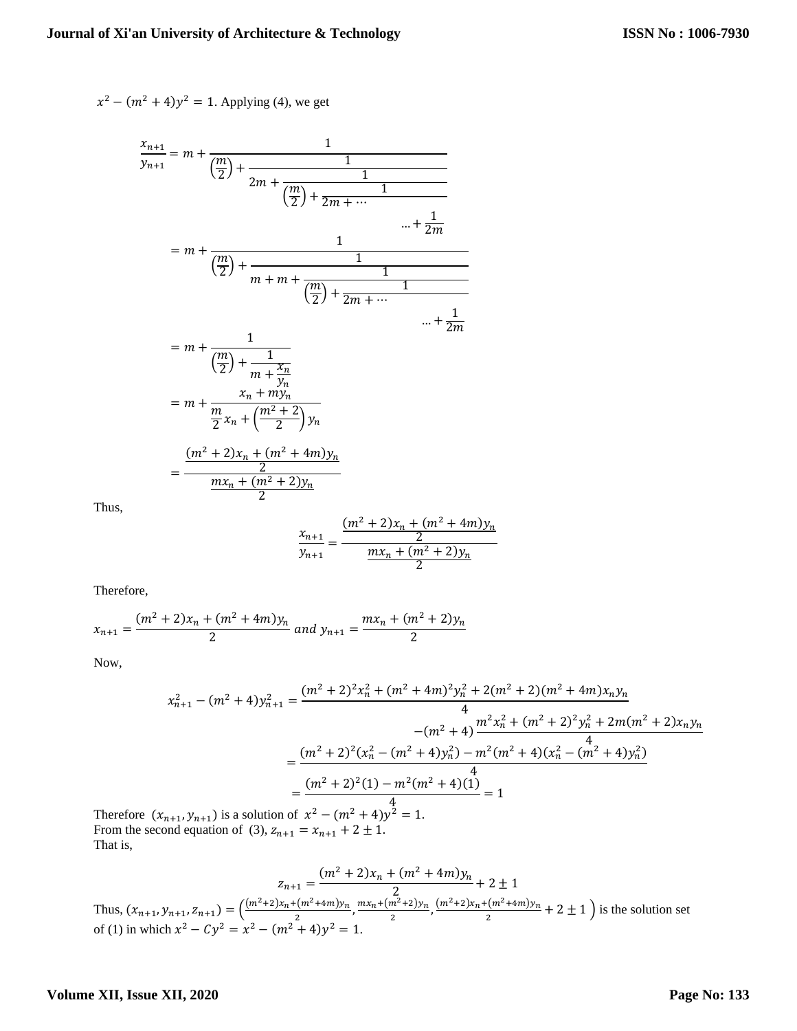$$
x^2 - (m^2 + 4)y^2 = 1
$$
. Applying (4), we get

$$
\frac{x_{n+1}}{y_{n+1}} = m + \frac{1}{\left(\frac{m}{2}\right) + \frac{1}{2m + \frac{1}{\left(\frac{m}{2}\right) + \frac{1}{2m + \dots}}}}
$$
\n
$$
= m + \frac{1}{\left(\frac{m}{2}\right) + \frac{1}{m + m + \frac{1}{\left(\frac{m}{2}\right) + \frac{1}{2m + \dots}}}}
$$
\n
$$
= m + \frac{1}{\left(\frac{m}{2}\right) + \frac{1}{m + \frac{x_n}{y_n}}}
$$
\n
$$
= m + \frac{x_n + my_n}{\frac{x_n + my_n}{2}x_n + \left(\frac{m^2 + 2}{2}\right)y_n}
$$
\n
$$
= \frac{\frac{(m^2 + 2)x_n + (m^2 + 4m)y_n}{2}}{\frac{mx_n + (m^2 + 2)y_n}{2}}
$$

Thus,

$$
\frac{x_{n+1}}{y_{n+1}} = \frac{\frac{(m^2+2)x_n + (m^2+4m)y_n}{2}}{\frac{mx_n + (m^2+2)y_n}{2}}
$$

Therefore,

$$
x_{n+1} = \frac{(m^2 + 2)x_n + (m^2 + 4m)y_n}{2}
$$
 and  $y_{n+1} = \frac{mx_n + (m^2 + 2)y_n}{2}$ 

Now,

$$
x_{n+1}^2 - (m^2 + 4)y_{n+1}^2 = \frac{(m^2 + 2)^2 x_n^2 + (m^2 + 4m)^2 y_n^2 + 2(m^2 + 2)(m^2 + 4m)x_n y_n}{4}
$$
  
\n
$$
- (m^2 + 4)\frac{m^2 x_n^2 + (m^2 + 2)^2 y_n^2 + 2m(m^2 + 2)x_n y_n}{4}
$$
  
\n
$$
= \frac{(m^2 + 2)^2 (x_n^2 - (m^2 + 4)y_n^2) - m^2 (m^2 + 4)(x_n^2 - (m^2 + 4)y_n^2)}{4}
$$
  
\n
$$
= \frac{(m^2 + 2)^2 (1) - m^2 (m^2 + 4)(1)}{4}
$$
  
\n
$$
= \frac{4}{m^2 + 4}
$$
  
\n
$$
x_{n+1}, y_{n+1}
$$
 is a solution of  $x^2 - (m^2 + 4)y^2 = 1$ .  
\n
$$
x_{n+1}, y_{n+1}
$$
 is a solution of  $x^2 - (m^2 + 4)y^2 = 1$ .

Therefore  $(x$ From the sec That is,

$$
z_{n+1} = \frac{(m^2 + 2)x_n + (m^2 + 4m)y_n}{2} + 2 \pm 1
$$
  
\nThus,  $(x_{n+1}, y_{n+1}, z_{n+1}) = \left(\frac{(m^2 + 2)x_n + (m^2 + 4m)y_n}{2}, \frac{mx_n + (m^2 + 2)y_n}{2}, \frac{(m^2 + 2)x_n + (m^2 + 4m)y_n}{2} + 2 \pm 1\right)$  is the solution set of (1) in which  $x^2 - Cy^2 = x^2 - (m^2 + 4)y^2 = 1$ .

# **Volume XII, Issue XII, 2020**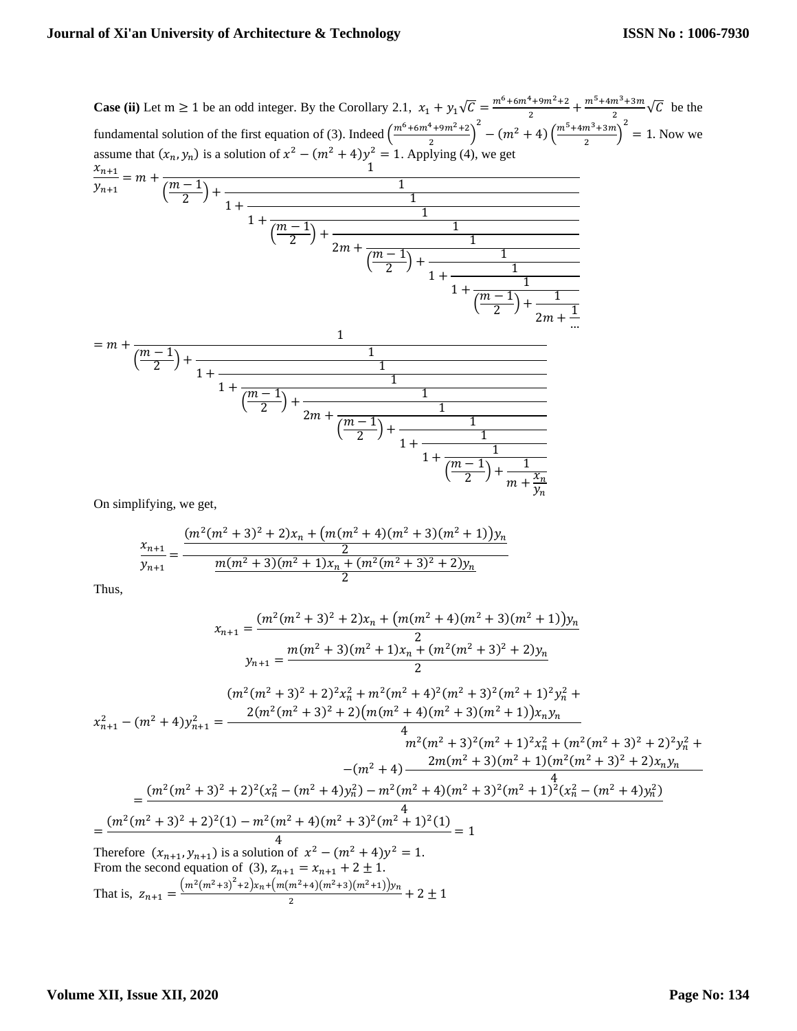**Case (ii)** Let  $m \ge 1$  be an odd integer. By the Corollary 2.1,  $x_1 + y_1\sqrt{C} = \frac{m^6 + 6m^4 + 9m^2 + 2}{2}$  $\frac{1+9m^2+2}{2} + \frac{m^5+4m^3+3m}{2}$  $\frac{m+sm}{2}$   $\sqrt{C}$  be the fundamental solution of the first equation of (3). Indeed  $\left(\frac{m^6 + 6m^4 + 9m^2 + 2}{2}\right)$  $\left(\frac{m^2+9m^2+2}{2}\right)^2 - (m^2+4)\left(\frac{m^5+4m^3+3m^2}{2}\right)$  $\left(\frac{m^3 + 3m}{2}\right)^2 = 1$ . Now we assume that  $(x_n, y_n)$  is a solution of  $x^2 - (m^2 + 4)y^2 = 1$ . Applying (4), we get

$$
\frac{x_{n+1}}{y_{n+1}} = m + \frac{1}{\left(\frac{m-1}{2}\right) + \frac{1}{1 + \frac{1}{\left(\frac{m-1}{2}\right) + \frac{1}{2m + \frac{1}{\left(\frac{m-1}{2}\right) + \frac{1}{1 + \frac{1}{\left(\frac{m-1}{2}\right) + \frac{1}{2m + \frac{1}{\dots}}}}}}}}}
$$
\n
$$
= m + \frac{1}{\left(\frac{m-1}{2}\right) + \frac{1}{1 + \frac{1}{\left(\frac{m-1}{2}\right) + \frac{1}{2m + \frac{1}{\left(\frac{m-1}{2}\right) + \frac{1}{1 + \frac{1}{\left(\frac{m-1}{2}\right) + \frac{1}{1 + \frac{1}{\left(\frac{m-1}{2}\right) + \frac{1}{\left(\frac{m-1}{2}\right) + \frac{1}{\left(\frac{m-1}{2}\right) + \frac{1}{\left(\frac{m-1}{2}\right) + \frac{1}{\left(\frac{m-1}{2}\right) + \frac{1}{\left(\frac{m-1}{2}\right) + \frac{1}{\left(\frac{m-1}{2}\right) + \frac{1}{\left(\frac{m-1}{2}\right) + \frac{1}{\left(\frac{m-1}{2}\right) + \frac{1}{\left(\frac{m-1}{2}\right) + \frac{1}{\left(\frac{m-1}{2}\right) + \frac{1}{\left(\frac{m-1}{2}\right) + \frac{1}{\left(\frac{m-1}{2}\right) + \frac{1}{\left(\frac{m-1}{2}\right) + \frac{1}{\left(\frac{m-1}{2}\right) + \frac{1}{\left(\frac{m-1}{2}\right) + \frac{1}{\left(\frac{m-1}{2}\right) + \frac{1}{\left(\frac{m-1}{2}\right) + \frac{1}{\left(\frac{m-1}{2}\right) + \frac{1}{\left(\frac{m-1}{2}\right) + \frac{1}{\left(\frac{m-1}{2}\right) + \frac{1}{\left(\frac{m-1}{2}\right) + \frac{1}{\left(\frac{m-1}{2}\right) + \frac{1}{\left(\frac{m-1}{2}\right) + \frac{1}{\left(\frac{m-1}{2}\right) + \frac{1}{\left(\frac{m-1}{2}\right) + \frac{1}{\left(\frac{m-1
$$

On simplifying, we get,

$$
\frac{x_{n+1}}{y_{n+1}} = \frac{(m^2(m^2+3)^2+2)x_n + (m(m^2+4)(m^2+3)(m^2+1))y_n}{\frac{m(m^2+3)(m^2+1)x_n + (m^2(m^2+3)^2+2)y_n}{2}}
$$

Thus,

$$
x_{n+1} = \frac{(m^2(m^2+3)^2+2)x_n + (m(m^2+4)(m^2+3)(m^2+1))y_n}{2}
$$
  
\n
$$
y_{n+1} = \frac{m(m^2+3)(m^2+1)x_n + (m^2(m^2+3)^2+2)y_n}{2}
$$
  
\n
$$
(m^2(m^2+3)^2+2)^2x_n^2 + m^2(m^2+4)^2(m^2+3)^2(m^2+1)^2y_n^2 +
$$
  
\n
$$
x_{n+1}^2 - (m^2+4)y_{n+1}^2 = \frac{2(m^2(m^2+3)^2+2)(m(m^2+4)(m^2+3)(m^2+1))x_ny_n}{4}
$$
  
\n
$$
+ \frac{m^2(m^2+3)^2(m^2+1)^2x_n^2 + (m^2(m^2+3)^2+2)^2y_n^2 +
$$
  
\n
$$
-(m^2+4) - \frac{2m(m^2+3)(m^2+1)(m^2(m^2+3)^2+2)x_ny_n}{4}
$$
  
\n
$$
= \frac{(m^2(m^2+3)^2+2)^2(x_n^2-(m^2+4)y_n^2) - m^2(m^2+4)(m^2+3)^2(m^2+1)^2(x_n^2-(m^2+4)y_n^2)}{4}
$$
  
\n
$$
= \frac{(m^2(m^2+3)^2+2)^2(1) - m^2(m^2+4)(m^2+3)^2(m^2+1)^2(1)}{4} = 1
$$
  
\nTherefore  $(x_{n+1}, y_{n+1})$  is a solution of  $x^2 - (m^2+4)y^2 = 1$ .

From the second equation of (3),  $z_{n+1} = x_{n+1} + 2 \pm 1$ . That is,  $z_{n+1} = \frac{(m^2(m^2+3)^2+2)x_n + (m(m^2+4)(m^2+3)(m^2+1))y_n}{2}$  $\frac{1}{2}$  + 2 ± 1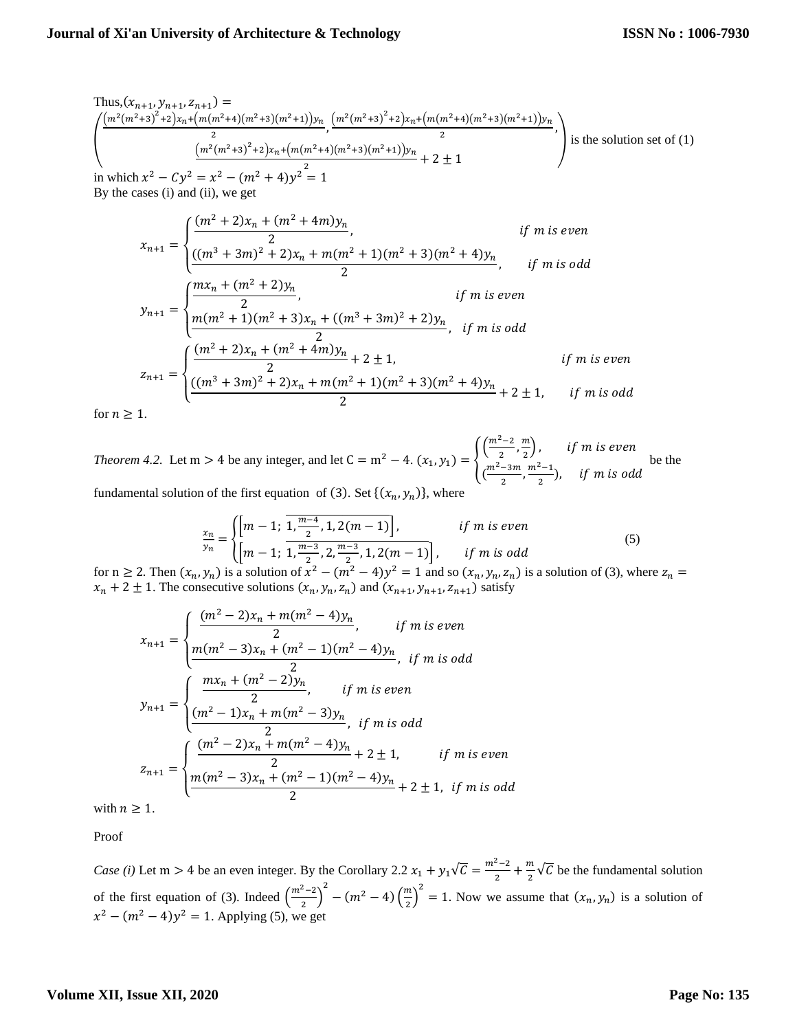Thus, 
$$
(x_{n+1}, y_{n+1}, z_{n+1}) =
$$
  
\n
$$
\left(\frac{(m^2(m^2+3)^2+2)x_n+(m(m^2+4)(m^2+3)(m^2+1))y_n}{2}, \frac{(m^2(m^2+3)^2+2)x_n+(m(m^2+4)(m^2+3)(m^2+1))y_n}{2}, \frac{(m^2(m^2+3)^2+2)x_n+(m(m^2+4)(m^2+3)(m^2+1))y_n}{2}\right)
$$
\nis the solution set of (1)  
\nin which  $x^2 - Cy^2 = x^2 - (m^2 + 4)y^2 = 1$   
\nBy the cases (i) and (ii), we get

$$
x_{n+1} = \begin{cases} \frac{(m^2 + 2)x_n + (m^2 + 4m)y_n}{2}, & \text{if } m \text{ is even} \\ \frac{((m^3 + 3m)^2 + 2)x_n + m(m^2 + 1)(m^2 + 3)(m^2 + 4)y_n}{2}, & \text{if } m \text{ is odd} \end{cases}
$$
  

$$
y_{n+1} = \begin{cases} \frac{mx_n + (m^2 + 2)y_n}{2}, & \text{if } m \text{ is even} \\ \frac{m(m^2 + 1)(m^2 + 3)x_n + ((m^3 + 3m)^2 + 2)y_n}{2}, & \text{if } m \text{ is odd} \end{cases}
$$
  

$$
z_{n+1} = \begin{cases} \frac{(m^2 + 2)x_n + (m^2 + 4m)y_n}{2} + 2 \pm 1, & \text{if } m \text{ is even} \\ \frac{((m^3 + 3m)^2 + 2)x_n + m(m^2 + 1)(m^2 + 3)(m^2 + 4)y_n}{2} + 2 \pm 1, & \text{if } m \text{ is odd} \end{cases}
$$

for  $n \geq 1$ .

*Theorem 4.2.* Let m > 4 be any integer, and let  $C = m^2 - 4$ .  $(x_1, y_1) = \{$  $\left(\frac{m^2-2}{2}\right)$  $\frac{2}{2}$ ,  $\frac{m}{2}$  $\left(\frac{n}{2}\right)$ , if m is even  $\left(\frac{m^2-3m}{2}\right)$  $\frac{-3m}{2}$ ,  $\frac{m^2-1}{2}$  $\frac{1}{2}$ ), if m is odd be the fundamental solution of the first equation of (3). Set  $\{(x_n, y_n)\}$ , where

$$
\frac{x_n}{y_n} = \begin{cases} \left[m-1; \frac{1}{1}, \frac{m-4}{2}, 1, 2(m-1)\right], & \text{if } m \text{ is even} \\ \left[m-1; \frac{m-3}{2}, 2, \frac{m-3}{2}, 1, 2(m-1)\right], & \text{if } m \text{ is odd} \end{cases}
$$
(5)

for  $n \ge 2$ . Then  $(x_n, y_n)$  is a solution of  $x^2 - (m^2 - 4)y^2 = 1$  and so  $(x_n, y_n, z_n)$  is a solution of (3), where  $z_n =$  $x_n + 2 \pm 1$ . The consecutive solutions  $(x_n, y_n, z_n)$  and  $(x_{n+1}, y_{n+1}, z_{n+1})$  satisfy

$$
x_{n+1} = \begin{cases} \frac{(m^2 - 2)x_n + m(m^2 - 4)y_n}{2}, & \text{if } m \text{ is even} \\ \frac{m(m^2 - 3)x_n + (m^2 - 1)(m^2 - 4)y_n}{2}, & \text{if } m \text{ is odd} \end{cases}
$$
  

$$
y_{n+1} = \begin{cases} \frac{mx_n + (m^2 - 2)y_n}{2}, & \text{if } m \text{ is even} \\ \frac{(m^2 - 1)x_n + m(m^2 - 3)y_n}{2}, & \text{if } m \text{ is odd} \end{cases}
$$
  

$$
z_{n+1} = \begin{cases} \frac{(m^2 - 2)x_n + m(m^2 - 4)y_n}{2} + 2 \pm 1, & \text{if } m \text{ is even} \\ \frac{m(m^2 - 3)x_n + (m^2 - 1)(m^2 - 4)y_n}{2} + 2 \pm 1, & \text{if } m \text{ is odd} \end{cases}
$$

with  $n \geq 1$ .

Proof

*Case (i)* Let m > 4 be an even integer. By the Corollary 2.2  $x_1 + y_1\sqrt{C} = \frac{m^2-2}{2} + \frac{m}{2}\sqrt{C}$  be the fundamental solution 2 2 of the first equation of (3). Indeed  $\left(\frac{m^2-2}{2}\right)$  $\left(\frac{2}{2}-2\right)^2 - (m^2-4)\left(\frac{m}{2}\right)$  $\left(\frac{m}{2}\right)^2 = 1$ . Now we assume that  $(x_n, y_n)$  is a solution of  $x^{2} - (m^{2} - 4)y^{2} = 1$ . Applying (5), we get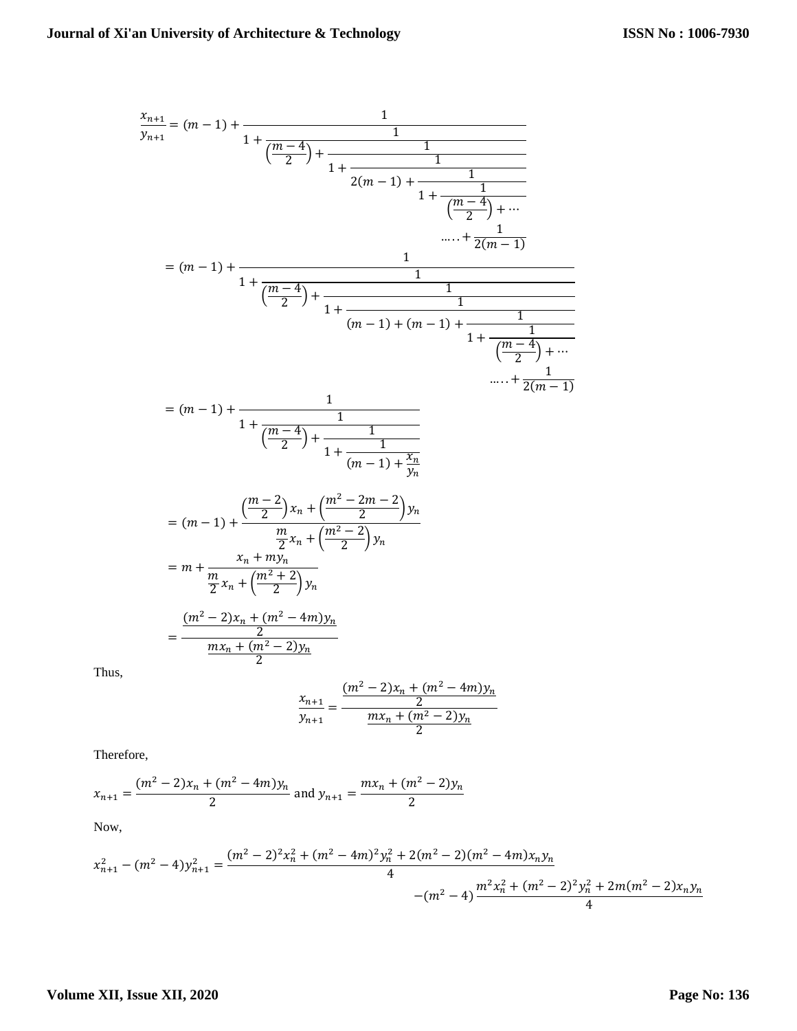$$
\frac{x_{n+1}}{y_{n+1}} = (m-1) + \frac{1}{1 + \frac{m-4}{2} + \frac{1}{1 + \frac{1}{2(m-1) + \frac{1}{1 + \frac{1}{m-4}}} + \dots}}
$$
\n
$$
= (m-1) + \frac{1}{1 + \frac{m-4}{2} + \frac{1}{1 + \frac{1}{(m-1) + (m-1) + \frac{1}{1 + \frac{1}{m-4}}} + \dots}}
$$
\n
$$
= (m-1) + \frac{1}{1 + \frac{m-4}{2} + \frac{1}{1 + \frac{1}{(m-1) + (m-1) + \frac{1}{1 + \frac{1}{m-4}}} + \dots}}
$$
\n
$$
= (m-1) + \frac{1}{1 + \frac{1}{\frac{m-4}{2} + \frac{1}{1 + \frac{1}{(m-1) + \frac{1}{y_n}}}}}} = (m-1) + \frac{\frac{m-2}{2}x_n + \frac{m^2 - 2m - 2}{2}y_n}{\frac{m}{2}x_n + \frac{m^2 - 2}{2}y_n}} = m + \frac{x_n + my_n}{\frac{x_n + my_n}{2}}
$$
\n
$$
= \frac{\frac{(m^2 - 2)x_n + (m^2 - 4m)y_n}{2}}{\frac{mx_n + (m^2 - 2)y_n}{2}}
$$

Thus,

$$
\frac{x_{n+1}}{y_{n+1}} = \frac{\frac{(m^2 - 2)x_n + (m^2 - 4m)y_n}{2}}{\frac{mx_n + (m^2 - 2)y_n}{2}}
$$

Therefore,

$$
x_{n+1} = \frac{(m^2 - 2)x_n + (m^2 - 4m)y_n}{2}
$$
 and  $y_{n+1} = \frac{mx_n + (m^2 - 2)y_n}{2}$ 

Now,

$$
x_{n+1}^2 - (m^2 - 4)y_{n+1}^2 = \frac{(m^2 - 2)^2 x_n^2 + (m^2 - 4m)^2 y_n^2 + 2(m^2 - 2)(m^2 - 4m)x_n y_n}{4} - (m^2 - 4)\frac{m^2 x_n^2 + (m^2 - 2)^2 y_n^2 + 2m(m^2 - 2)x_n y_n}{4}
$$

# **Volume XII, Issue XII, 2020**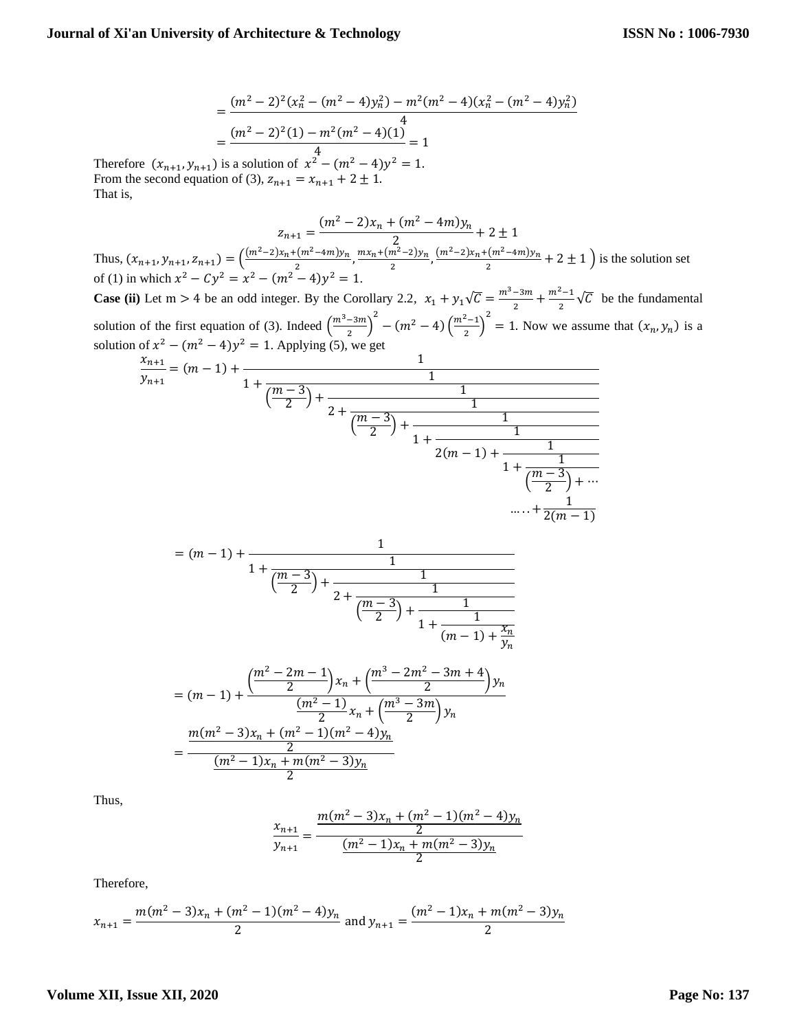$$
= \frac{(m^2 - 2)^2 (x_n^2 - (m^2 - 4)y_n^2) - m^2 (m^2 - 4)(x_n^2 - (m^2 - 4)y_n^2)}{4}
$$
  
= 
$$
\frac{(m^2 - 2)^2 (1) - m^2 (m^2 - 4)(1)}{4} = 1
$$

Therefore  $(x_{n+1}, y_{n+1})$  is a solution of  $x^2 - (m^2 - 4)y^2 = 1$ . From the second equation of (3),  $z_{n+1} = x_{n+1} + 2 \pm 1$ . That is,

$$
z_{n+1} = \frac{(m^2 - 2)x_n + (m^2 - 4m)y_n}{2} + 2 \pm 1
$$
  
\nThus,  $(x_{n+1}, y_{n+1}, z_{n+1}) = \left(\frac{(m^2 - 2)x_n + (m^2 - 4m)y_n}{2}, \frac{mx_n + (m^2 - 2)y_n}{2}, \frac{(m^2 - 2)x_n + (m^2 - 4m)y_n}{2} + 2 \pm 1\right)$  is the solution set  
\nof (1) in which  $x^2 - Cy^2 = x^2 - (m^2 - 4)y^2 = 1$ .

**Case (ii)** Let m > 4 be an odd integer. By the Corollary 2.2,  $x_1 + y_1\sqrt{C} = \frac{m^3 - 3m}{2}$  $\frac{-3m}{2} + \frac{m^2 - 1}{2}$  $\frac{-1}{2}\sqrt{C}$  be the fundamental solution of the first equation of (3). Indeed  $\left(\frac{m^3-3m}{2}\right)$  $\left(\frac{-3m}{2}\right)^2 - (m^2 - 4) \left(\frac{m^2 - 1}{2}\right)$  $\left(\frac{2}{2}\right)^2 = 1$ . Now we assume that  $(x_n, y_n)$  is a solution of  $x^2 - (m^2 - 4)y^2 = 1$ . Applying (5), we get

$$
\frac{x_{n+1}}{y_{n+1}} = (m-1) + \cfrac{1}{1 + \cfrac{m-3}{2} + \cfrac{1}{2 + \cfrac{m-3}{2} + \cfrac{1}{1 + \cfrac{1}{2(m-1) + \cfrac{1}{1 + \cfrac{m-3}{2} + \cdots}}}}}
$$
\n
$$
\frac{1}{1 + \cfrac{1}{\cfrac{m-3}{2} + \cdots}}
$$
\n
$$
\dots + \cfrac{1}{2(m-1)}
$$

$$
= (m-1) + \cfrac{1}{1 + \cfrac{m-3}{\left(\frac{m-3}{2}\right) + \cfrac{1}{2 + \cfrac{m-3}{\left(\frac{m-3}{2}\right) + \cfrac{1}{1 + \cfrac{1}{(m-1) + \frac{x_n}{y_n}}}}}}}
$$

$$
= (m - 1) + \frac{\left(\frac{m^2 - 2m - 1}{2}\right)x_n + \left(\frac{m^3 - 2m^2 - 3m + 4}{2}\right)y_n}{\frac{(m^2 - 1)}{2}x_n + \left(\frac{m^3 - 3m}{2}\right)y_n}
$$

$$
= \frac{\frac{m(m^2 - 3)x_n + (m^2 - 1)(m^2 - 4)y_n}{\frac{2}{2}}}{\frac{(m^2 - 1)x_n + m(m^2 - 3)y_n}{2}}
$$

Thus,

$$
\frac{x_{n+1}}{y_{n+1}} = \frac{\frac{m(m^2 - 3)x_n + (m^2 - 1)(m^2 - 4)y_n}{2}}{\frac{(m^2 - 1)x_n + m(m^2 - 3)y_n}{2}}
$$

Therefore,

$$
x_{n+1} = \frac{m(m^2 - 3)x_n + (m^2 - 1)(m^2 - 4)y_n}{2}
$$
 and  $y_{n+1} = \frac{(m^2 - 1)x_n + m(m^2 - 3)y_n}{2}$ 

## **Volume XII, Issue XII, 2020**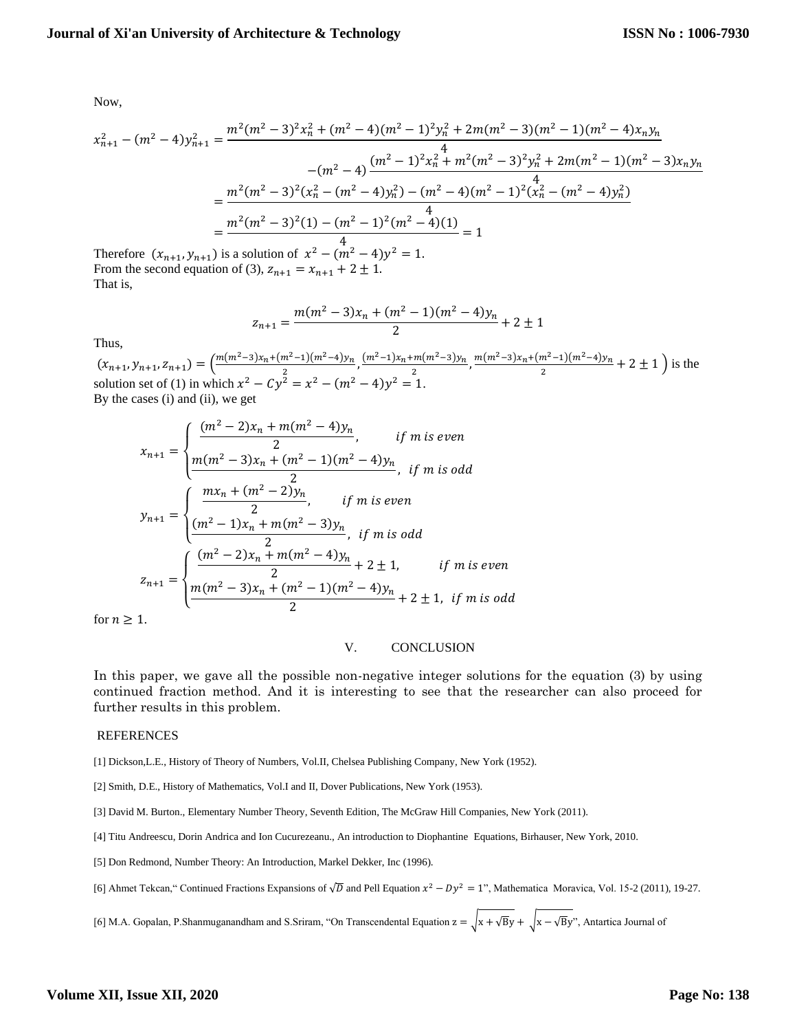Now,

$$
x_{n+1}^2 - (m^2 - 4)y_{n+1}^2 = \frac{m^2(m^2 - 3)^2 x_n^2 + (m^2 - 4)(m^2 - 1)^2 y_n^2 + 2m(m^2 - 3)(m^2 - 1)(m^2 - 4)x_n y_n}{-(m^2 - 4)\frac{(m^2 - 1)^2 x_n^2 + m^2(m^2 - 3)^2 y_n^2 + 2m(m^2 - 1)(m^2 - 3)x_n y_n}{4}}
$$
  
= 
$$
\frac{m^2(m^2 - 3)^2 (x_n^2 - (m^2 - 4)y_n^2) - (m^2 - 4)(m^2 - 1)^2 (x_n^2 - (m^2 - 4)y_n^2)}{4}
$$
  
= 
$$
\frac{m^2(m^2 - 3)^2 (1) - (m^2 - 1)^2 (m^2 - 4)(1)}{4}
$$
  
Therefore  $(x_{n+1}, y_{n+1})$  is a solution of  $x^2 - (m^2 - 4)y^2 = 1$ .

Therefore  $(x_{n+1}, y_{n+1})$  is a solution of  $x^2 - (m^2 - 4)y$ From the second equation of (3),  $z_{n+1} = x_{n+1} + 2 \pm 1$ . That is,

$$
z_{n+1} = \frac{m(m^2 - 3)x_n + (m^2 - 1)(m^2 - 4)y_n}{2} + 2 \pm 1
$$

Thus,

 $(x_{n+1}, y_{n+1}, z_{n+1}) = \left(\frac{m(m^2-3)x_n + (m^2-1)(m^2-4)y_n}{2}\right)$  $\frac{(m^2-1)(m^2-4)y_n}{2}, \frac{(m^2-1)x_n+m(m^2-3)y_n}{2}$  $\frac{2m(m^2-3)y_n}{2}, \frac{m(m^2-3)x_n+(m^2-1)(m^2-4)y_n}{2}$  $\frac{n-1}{2}$  + 2 ± 1 ) is the solution set of (1) in which  $x^2 - Cy^2 = x^2 - (m^2 - 4)y^2 = 1$ . By the cases (i) and (ii), we get

$$
x_{n+1} = \begin{cases} \frac{(m^2 - 2)x_n + m(m^2 - 4)y_n}{2}, & \text{if m is even} \\ \frac{m(m^2 - 3)x_n + (m^2 - 1)(m^2 - 4)y_n}{2}, & \text{if m is odd} \end{cases}
$$
  

$$
y_{n+1} = \begin{cases} \frac{mx_n + (m^2 - 2)y_n}{2}, & \text{if m is even} \\ \frac{(m^2 - 1)x_n + m(m^2 - 3)y_n}{2}, & \text{if m is odd} \end{cases}
$$
  

$$
z_{n+1} = \begin{cases} \frac{(m^2 - 2)x_n + m(m^2 - 4)y_n}{2} + 2 \pm 1, & \text{if m is even} \\ \frac{m(m^2 - 3)x_n + (m^2 - 1)(m^2 - 4)y_n}{2} + 2 \pm 1, & \text{if m is odd} \end{cases}
$$

for  $n \geq 1$ .

#### V. CONCLUSION

In this paper, we gave all the possible non-negative integer solutions for the equation (3) by using continued fraction method. And it is interesting to see that the researcher can also proceed for further results in this problem.

#### REFERENCES

[1] Dickson,L.E., History of Theory of Numbers, Vol.II, Chelsea Publishing Company, New York (1952).

- [2] Smith, D.E., History of Mathematics, Vol.I and II, Dover Publications, New York (1953).
- [3] David M. Burton., Elementary Number Theory, Seventh Edition, The McGraw Hill Companies, New York (2011).
- [4] Titu Andreescu, Dorin Andrica and Ion Cucurezeanu., An introduction to Diophantine Equations, Birhauser, New York, 2010.
- [5] Don Redmond, Number Theory: An Introduction, Markel Dekker, Inc (1996).

[6] Ahmet Tekcan," Continued Fractions Expansions of  $\sqrt{D}$  and Pell Equation  $x^2 - Dy^2 = 1$ ", Mathematica Moravica, Vol. 15-2 (2011), 19-27.

[6] M.A. Gopalan, P.Shanmuganandham and S.Sriram, "On Transcendental Equation  $z = \sqrt{x + \sqrt{By}} + \sqrt{x - \sqrt{By}}$ ", Antartica Journal of